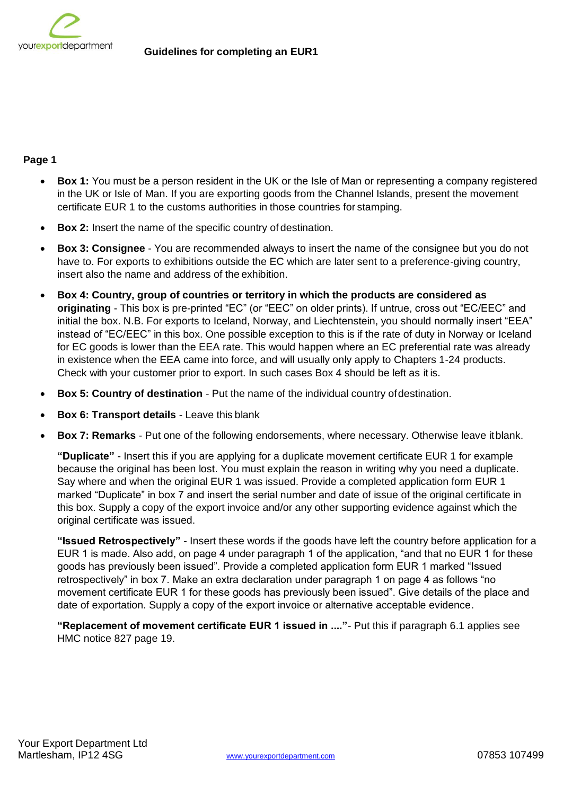

# **Page 1**

- **Box 1:** You must be a person resident in the UK or the Isle of Man or representing a company registered in the UK or Isle of Man. If you are exporting goods from the Channel Islands, present the movement certificate EUR 1 to the customs authorities in those countries for stamping.
- **Box 2:** Insert the name of the specific country of destination.
- **Box 3: Consignee**  You are recommended always to insert the name of the consignee but you do not have to. For exports to exhibitions outside the EC which are later sent to a preference-giving country, insert also the name and address of the exhibition.
- **Box 4: Country, group of countries or territory in which the products are considered as originating** - This box is pre-printed "EC" (or "EEC" on older prints). If untrue, cross out "EC/EEC" and initial the box. N.B. For exports to Iceland, Norway, and Liechtenstein, you should normally insert "EEA" instead of "EC/EEC" in this box. One possible exception to this is if the rate of duty in Norway or Iceland for EC goods is lower than the EEA rate. This would happen where an EC preferential rate was already in existence when the EEA came into force, and will usually only apply to Chapters 1-24 products. Check with your customer prior to export. In such cases Box 4 should be left as it is.
- **Box 5: Country of destination**  Put the name of the individual country ofdestination.
- **Box 6: Transport details**  Leave this blank
- **Box 7: Remarks**  Put one of the following endorsements, where necessary. Otherwise leave itblank.

**"Duplicate"** - Insert this if you are applying for a duplicate movement certificate EUR 1 for example because the original has been lost. You must explain the reason in writing why you need a duplicate. Say where and when the original EUR 1 was issued. Provide a completed application form EUR 1 marked "Duplicate" in box 7 and insert the serial number and date of issue of the original certificate in this box. Supply a copy of the export invoice and/or any other supporting evidence against which the original certificate was issued.

**"Issued Retrospectively"** - Insert these words if the goods have left the country before application for a EUR 1 is made. Also add, on page 4 under paragraph 1 of the application, "and that no EUR 1 for these goods has previously been issued". Provide a completed application form EUR 1 marked "Issued retrospectively" in box 7. Make an extra declaration under paragraph 1 on page 4 as follows "no movement certificate EUR 1 for these goods has previously been issued". Give details of the place and date of exportation. Supply a copy of the export invoice or alternative acceptable evidence.

**"Replacement of movement certificate EUR 1 issued in ...."**- Put this if paragraph 6.1 applies see HMC notice 827 page 19.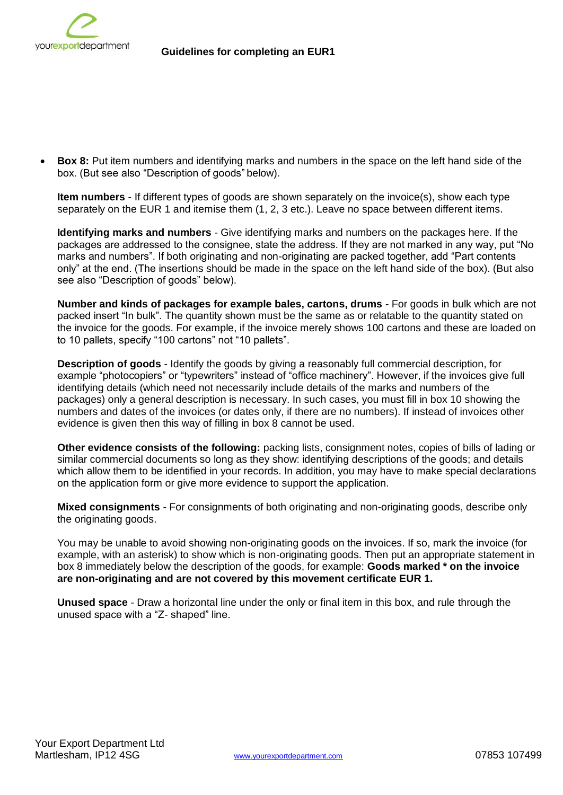

**Box 8:** Put item numbers and identifying marks and numbers in the space on the left hand side of the box. (But see also "Description of goods" below).

**Item numbers** - If different types of goods are shown separately on the invoice(s), show each type separately on the EUR 1 and itemise them (1, 2, 3 etc.). Leave no space between different items.

**Identifying marks and numbers** - Give identifying marks and numbers on the packages here. If the packages are addressed to the consignee, state the address. If they are not marked in any way, put "No marks and numbers". If both originating and non-originating are packed together, add "Part contents only" at the end. (The insertions should be made in the space on the left hand side of the box). (But also see also "Description of goods" below).

**Number and kinds of packages for example bales, cartons, drums** - For goods in bulk which are not packed insert "In bulk". The quantity shown must be the same as or relatable to the quantity stated on the invoice for the goods. For example, if the invoice merely shows 100 cartons and these are loaded on to 10 pallets, specify "100 cartons" not "10 pallets".

**Description of goods** - Identify the goods by giving a reasonably full commercial description, for example "photocopiers" or "typewriters" instead of "office machinery". However, if the invoices give full identifying details (which need not necessarily include details of the marks and numbers of the packages) only a general description is necessary. In such cases, you must fill in box 10 showing the numbers and dates of the invoices (or dates only, if there are no numbers). If instead of invoices other evidence is given then this way of filling in box 8 cannot be used.

**Other evidence consists of the following:** packing lists, consignment notes, copies of bills of lading or similar commercial documents so long as they show: identifying descriptions of the goods; and details which allow them to be identified in your records. In addition, you may have to make special declarations on the application form or give more evidence to support the application.

**Mixed consignments** - For consignments of both originating and non-originating goods, describe only the originating goods.

You may be unable to avoid showing non-originating goods on the invoices. If so, mark the invoice (for example, with an asterisk) to show which is non-originating goods. Then put an appropriate statement in box 8 immediately below the description of the goods, for example: **Goods marked \* on the invoice are non-originating and are not covered by this movement certificate EUR 1.**

**Unused space** - Draw a horizontal line under the only or final item in this box, and rule through the unused space with a "Z- shaped" line.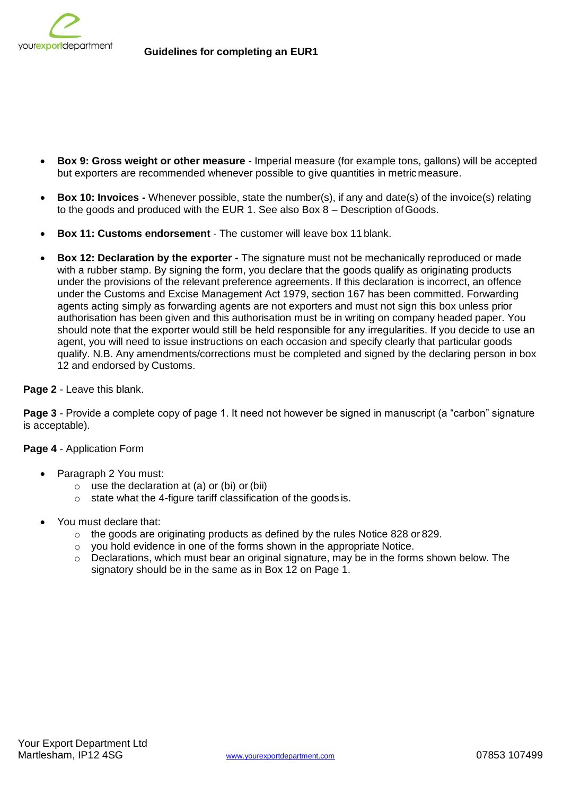

- **Box 9: Gross weight or other measure**  Imperial measure (for example tons, gallons) will be accepted but exporters are recommended whenever possible to give quantities in metric measure.
- **Box 10: Invoices -** Whenever possible, state the number(s), if any and date(s) of the invoice(s) relating to the goods and produced with the EUR 1. See also Box 8 – Description ofGoods.
- **Box 11: Customs endorsement**  The customer will leave box 11 blank.
- **Box 12: Declaration by the exporter -** The signature must not be mechanically reproduced or made with a rubber stamp. By signing the form, you declare that the goods qualify as originating products under the provisions of the relevant preference agreements. If this declaration is incorrect, an offence under the Customs and Excise Management Act 1979, section 167 has been committed. Forwarding agents acting simply as forwarding agents are not exporters and must not sign this box unless prior authorisation has been given and this authorisation must be in writing on company headed paper. You should note that the exporter would still be held responsible for any irregularities. If you decide to use an agent, you will need to issue instructions on each occasion and specify clearly that particular goods qualify. N.B. Any amendments/corrections must be completed and signed by the declaring person in box 12 and endorsed by Customs.

# **Page 2** - Leave this blank.

**Page 3** - Provide a complete copy of page 1. It need not however be signed in manuscript (a "carbon" signature is acceptable).

# **Page 4** - Application Form

- Paragraph 2 You must:
	- $\circ$  use the declaration at (a) or (bi) or (bii)
	- o state what the 4-figure tariff classification of the goods is.
- You must declare that:
	- $\circ$  the goods are originating products as defined by the rules Notice 828 or 829.
	- o you hold evidence in one of the forms shown in the appropriate Notice.
	- $\circ$  Declarations, which must bear an original signature, may be in the forms shown below. The signatory should be in the same as in Box 12 on Page 1.